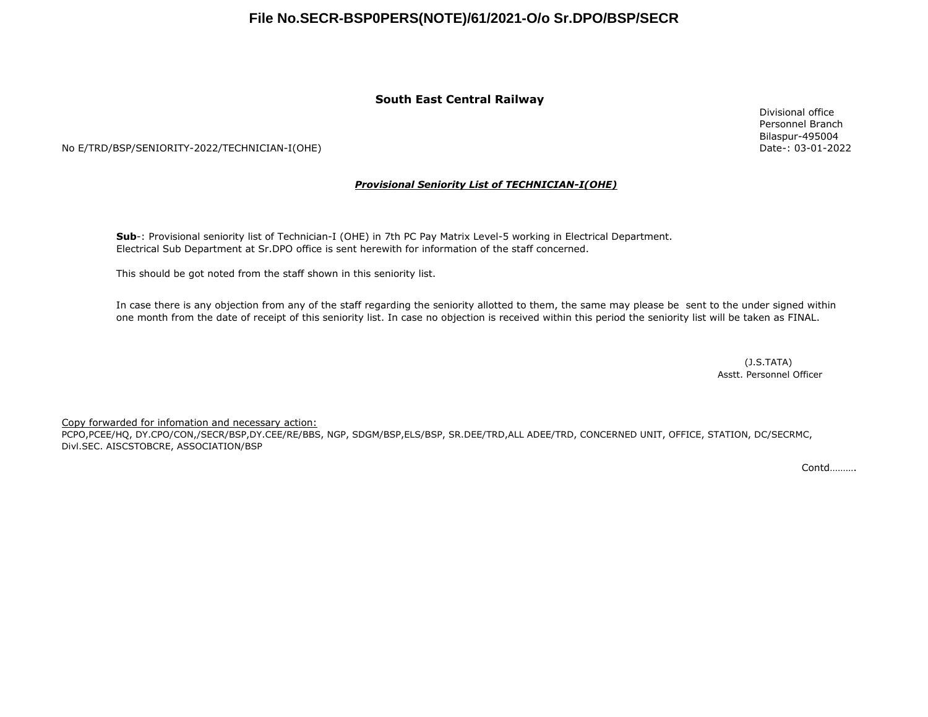### **South East Central Railway**

No E/TRD/BSP/SENIORITY-2022/TECHNICIAN-I(OHE)

#### *Provisional Seniority List of TECHNICIAN-I(OHE)*

**Sub**-: Provisional seniority list of Technician-I (OHE) in 7th PC Pay Matrix Level-5 working in Electrical Department. Electrical Sub Department at Sr.DPO office is sent herewith for information of the staff concerned.

This should be got noted from the staff shown in this seniority list.

In case there is any objection from any of the staff regarding the seniority allotted to them, the same may please be sent to the under signed within one month from the date of receipt of this seniority list. In case no objection is received within this period the seniority list will be taken as FINAL.

> Asstt. Personnel Officer (J.S.TATA)

Copy forwarded for infomation and necessary action:

PCPO,PCEE/HQ, DY.CPO/CON,/SECR/BSP,DY.CEE/RE/BBS, NGP, SDGM/BSP,ELS/BSP, SR.DEE/TRD,ALL ADEE/TRD, CONCERNED UNIT, OFFICE, STATION, DC/SECRMC, Divl.SEC. AISCSTOBCRE, ASSOCIATION/BSP

Contd……….

Divisional office Personnel Branch Bilaspur-495004 Date-: 03-01-2022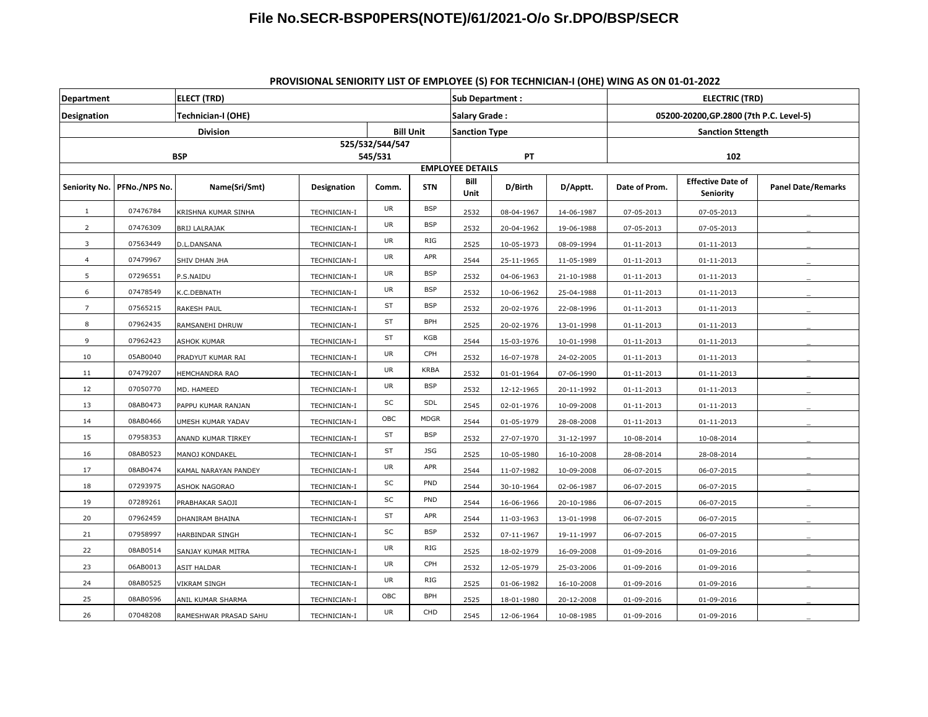| <b>Department</b>       |                               | <b>ELECT (TRD)</b>    |              |                  |             |                      | Sub Department:                      |            |                                         | <b>ELECTRIC (TRD)</b>                        |                           |  |  |
|-------------------------|-------------------------------|-----------------------|--------------|------------------|-------------|----------------------|--------------------------------------|------------|-----------------------------------------|----------------------------------------------|---------------------------|--|--|
| <b>Designation</b>      |                               | Technician-I (OHE)    |              |                  |             | <b>Salary Grade:</b> |                                      |            | 05200-20200, GP.2800 (7th P.C. Level-5) |                                              |                           |  |  |
| <b>Division</b>         |                               |                       |              | <b>Bill Unit</b> |             | <b>Sanction Type</b> |                                      |            | <b>Sanction Sttength</b>                |                                              |                           |  |  |
|                         |                               |                       |              | 525/532/544/547  |             |                      |                                      |            |                                         |                                              |                           |  |  |
| <b>BSP</b><br>545/531   |                               |                       |              |                  |             |                      | PT<br>102<br><b>EMPLOYEE DETAILS</b> |            |                                         |                                              |                           |  |  |
|                         | Seniority No.   PFNo./NPS No. | Name(Sri/Smt)         | Designation  | Comm.            | <b>STN</b>  | Bill<br>Unit         | D/Birth                              | D/Apptt.   | Date of Prom.                           | <b>Effective Date of</b><br><b>Seniority</b> | <b>Panel Date/Remarks</b> |  |  |
| $\mathbf{1}$            | 07476784                      | KRISHNA KUMAR SINHA   | TECHNICIAN-I | UR               | <b>BSP</b>  | 2532                 | 08-04-1967                           | 14-06-1987 | 07-05-2013                              | 07-05-2013                                   |                           |  |  |
| $\overline{2}$          | 07476309                      | <b>BRIJ LALRAJAK</b>  | TECHNICIAN-I | <b>UR</b>        | <b>BSP</b>  | 2532                 | 20-04-1962                           | 19-06-1988 | 07-05-2013                              | 07-05-2013                                   |                           |  |  |
| $\overline{\mathbf{3}}$ | 07563449                      | D.L.DANSANA           | TECHNICIAN-I | <b>UR</b>        | RIG         | 2525                 | 10-05-1973                           | 08-09-1994 | 01-11-2013                              | 01-11-2013                                   |                           |  |  |
| $\overline{4}$          | 07479967                      | SHIV DHAN JHA         | TECHNICIAN-I | <b>UR</b>        | APR         | 2544                 | 25-11-1965                           | 11-05-1989 | 01-11-2013                              | 01-11-2013                                   |                           |  |  |
| 5                       | 07296551                      | P.S.NAIDU             | TECHNICIAN-I | <b>UR</b>        | <b>BSP</b>  | 2532                 | 04-06-1963                           | 21-10-1988 | 01-11-2013                              | 01-11-2013                                   |                           |  |  |
| 6                       | 07478549                      | K.C.DEBNATH           | TECHNICIAN-I | UR               | <b>BSP</b>  | 2532                 | 10-06-1962                           | 25-04-1988 | 01-11-2013                              | 01-11-2013                                   |                           |  |  |
| $\overline{7}$          | 07565215                      | <b>RAKESH PAUL</b>    | TECHNICIAN-I | ST               | <b>BSP</b>  | 2532                 | 20-02-1976                           | 22-08-1996 | 01-11-2013                              | 01-11-2013                                   |                           |  |  |
| 8                       | 07962435                      | RAMSANEHI DHRUW       | TECHNICIAN-I | ST               | <b>BPH</b>  | 2525                 | 20-02-1976                           | 13-01-1998 | 01-11-2013                              | 01-11-2013                                   |                           |  |  |
| 9                       | 07962423                      | <b>ASHOK KUMAR</b>    | TECHNICIAN-I | ST               | KGB         | 2544                 | 15-03-1976                           | 10-01-1998 | 01-11-2013                              | 01-11-2013                                   |                           |  |  |
| 10                      | 05AB0040                      | PRADYUT KUMAR RAI     | TECHNICIAN-I | <b>UR</b>        | CPH         | 2532                 | 16-07-1978                           | 24-02-2005 | 01-11-2013                              | 01-11-2013                                   |                           |  |  |
| 11                      | 07479207                      | HEMCHANDRA RAO        | TECHNICIAN-I | UR               | <b>KRBA</b> | 2532                 | 01-01-1964                           | 07-06-1990 | 01-11-2013                              | 01-11-2013                                   |                           |  |  |
| 12                      | 07050770                      | MD. HAMEED            | TECHNICIAN-I | UR               | <b>BSP</b>  | 2532                 | 12-12-1965                           | 20-11-1992 | 01-11-2013                              | 01-11-2013                                   |                           |  |  |
| 13                      | 08AB0473                      | PAPPU KUMAR RANJAN    | TECHNICIAN-I | SC               | SDL         | 2545                 | 02-01-1976                           | 10-09-2008 | 01-11-2013                              | 01-11-2013                                   |                           |  |  |
| 14                      | 08AB0466                      | UMESH KUMAR YADAV     | TECHNICIAN-I | OBC              | <b>MDGR</b> | 2544                 | 01-05-1979                           | 28-08-2008 | 01-11-2013                              | 01-11-2013                                   |                           |  |  |
| 15                      | 07958353                      | ANAND KUMAR TIRKEY    | TECHNICIAN-I | ST               | <b>BSP</b>  | 2532                 | 27-07-1970                           | 31-12-1997 | 10-08-2014                              | 10-08-2014                                   |                           |  |  |
| 16                      | 08AB0523                      | MANOJ KONDAKEL        | TECHNICIAN-I | ST               | <b>JSG</b>  | 2525                 | 10-05-1980                           | 16-10-2008 | 28-08-2014                              | 28-08-2014                                   |                           |  |  |
| 17                      | 08AB0474                      | KAMAL NARAYAN PANDEY  | TECHNICIAN-I | UR               | APR         | 2544                 | 11-07-1982                           | 10-09-2008 | 06-07-2015                              | 06-07-2015                                   |                           |  |  |
| 18                      | 07293975                      | ASHOK NAGORAO         | TECHNICIAN-I | SC               | PND         | 2544                 | 30-10-1964                           | 02-06-1987 | 06-07-2015                              | 06-07-2015                                   |                           |  |  |
| 19                      | 07289261                      | PRABHAKAR SAOJI       | TECHNICIAN-I | SC               | PND         | 2544                 | 16-06-1966                           | 20-10-1986 | 06-07-2015                              | 06-07-2015                                   |                           |  |  |
| 20                      | 07962459                      | DHANIRAM BHAINA       | TECHNICIAN-I | ST               | APR         | 2544                 | 11-03-1963                           | 13-01-1998 | 06-07-2015                              | 06-07-2015                                   |                           |  |  |
| 21                      | 07958997                      | HARBINDAR SINGH       | TECHNICIAN-I | SC               | <b>BSP</b>  | 2532                 | 07-11-1967                           | 19-11-1997 | 06-07-2015                              | 06-07-2015                                   |                           |  |  |
| 22                      | 08AB0514                      | SANJAY KUMAR MITRA    | TECHNICIAN-I | UR               | RIG         | 2525                 | 18-02-1979                           | 16-09-2008 | 01-09-2016                              | 01-09-2016                                   |                           |  |  |
| 23                      | 06AB0013                      | ASIT HALDAR           | TECHNICIAN-I | UR               | CPH         | 2532                 | 12-05-1979                           | 25-03-2006 | 01-09-2016                              | 01-09-2016                                   |                           |  |  |
| 24                      | 08AB0525                      | VIKRAM SINGH          | TECHNICIAN-I | <b>UR</b>        | <b>RIG</b>  | 2525                 | 01-06-1982                           | 16-10-2008 | 01-09-2016                              | 01-09-2016                                   |                           |  |  |
| 25                      | 08AB0596                      | ANIL KUMAR SHARMA     | TECHNICIAN-I | OBC              | <b>BPH</b>  | 2525                 | 18-01-1980                           | 20-12-2008 | 01-09-2016                              | 01-09-2016                                   |                           |  |  |
| 26                      | 07048208                      | RAMESHWAR PRASAD SAHU | TECHNICIAN-I | <b>UR</b>        | CHD         | 2545                 | 12-06-1964                           | 10-08-1985 | 01-09-2016                              | 01-09-2016                                   |                           |  |  |

### **PROVISIONAL SENIORITY LIST OF EMPLOYEE (S) FOR TECHNICIAN-I (OHE) WING AS ON 01-01-2022**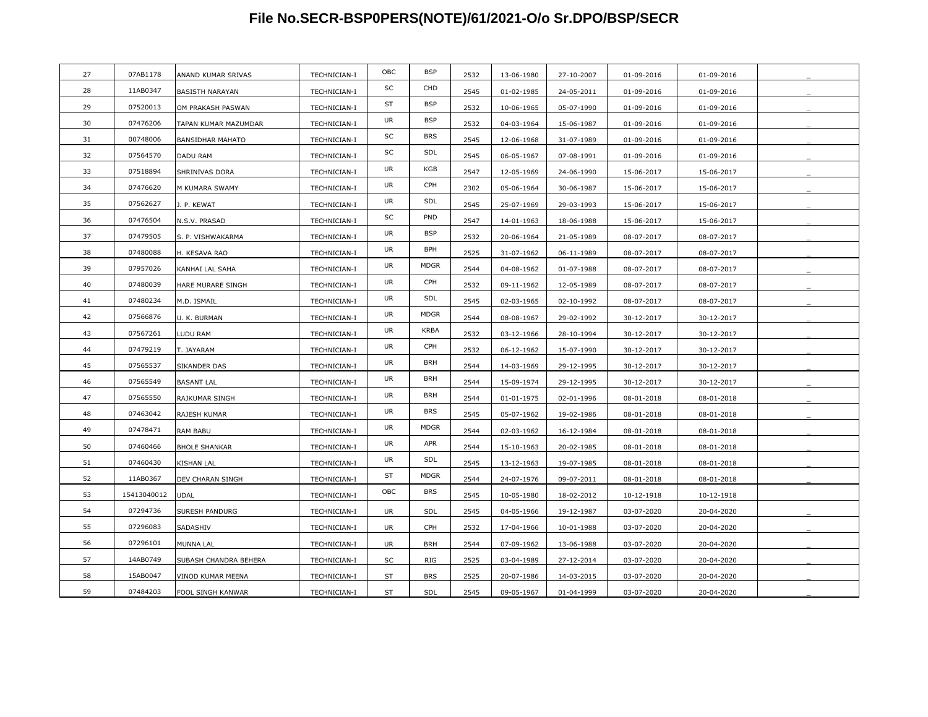| 27 | 07AB1178    | ANAND KUMAR SRIVAS      | TECHNICIAN-I | OBC       | <b>BSP</b>  | 2532 | 13-06-1980 | 27-10-2007 | 01-09-2016 | 01-09-2016 |  |
|----|-------------|-------------------------|--------------|-----------|-------------|------|------------|------------|------------|------------|--|
| 28 | 11AB0347    | <b>BASISTH NARAYAN</b>  | TECHNICIAN-I | SC        | CHD         | 2545 | 01-02-1985 | 24-05-2011 | 01-09-2016 | 01-09-2016 |  |
| 29 | 07520013    | OM PRAKASH PASWAN       | TECHNICIAN-I | ST        | <b>BSP</b>  | 2532 | 10-06-1965 | 05-07-1990 | 01-09-2016 | 01-09-2016 |  |
| 30 | 07476206    | TAPAN KUMAR MAZUMDAR    | TECHNICIAN-I | UR        | <b>BSP</b>  | 2532 | 04-03-1964 | 15-06-1987 | 01-09-2016 | 01-09-2016 |  |
| 31 | 00748006    | <b>BANSIDHAR MAHATO</b> | TECHNICIAN-I | SC        | <b>BRS</b>  | 2545 | 12-06-1968 | 31-07-1989 | 01-09-2016 | 01-09-2016 |  |
| 32 | 07564570    | DADU RAM                | TECHNICIAN-I | SC        | SDL         | 2545 | 06-05-1967 | 07-08-1991 | 01-09-2016 | 01-09-2016 |  |
| 33 | 07518894    | SHRINIVAS DORA          | TECHNICIAN-I | UR        | KGB         | 2547 | 12-05-1969 | 24-06-1990 | 15-06-2017 | 15-06-2017 |  |
| 34 | 07476620    | M KUMARA SWAMY          | TECHNICIAN-I | <b>UR</b> | CPH         | 2302 | 05-06-1964 | 30-06-1987 | 15-06-2017 | 15-06-2017 |  |
| 35 | 07562627    | J. P. KEWAT             | TECHNICIAN-I | <b>UR</b> | SDL         | 2545 | 25-07-1969 | 29-03-1993 | 15-06-2017 | 15-06-2017 |  |
| 36 | 07476504    | N.S.V. PRASAD           | TECHNICIAN-I | SC        | PND         | 2547 | 14-01-1963 | 18-06-1988 | 15-06-2017 | 15-06-2017 |  |
| 37 | 07479505    | S. P. VISHWAKARMA       | TECHNICIAN-I | <b>UR</b> | <b>BSP</b>  | 2532 | 20-06-1964 | 21-05-1989 | 08-07-2017 | 08-07-2017 |  |
| 38 | 07480088    | H. KESAVA RAO           | TECHNICIAN-I | UR        | <b>BPH</b>  | 2525 | 31-07-1962 | 06-11-1989 | 08-07-2017 | 08-07-2017 |  |
| 39 | 07957026    | KANHAI LAL SAHA         | TECHNICIAN-I | UR        | <b>MDGR</b> | 2544 | 04-08-1962 | 01-07-1988 | 08-07-2017 | 08-07-2017 |  |
| 40 | 07480039    | HARE MURARE SINGH       | TECHNICIAN-I | UR        | CPH         | 2532 | 09-11-1962 | 12-05-1989 | 08-07-2017 | 08-07-2017 |  |
| 41 | 07480234    | M.D. ISMAIL             | TECHNICIAN-I | <b>UR</b> | SDL         | 2545 | 02-03-1965 | 02-10-1992 | 08-07-2017 | 08-07-2017 |  |
| 42 | 07566876    | U. K. BURMAN            | TECHNICIAN-I | UR        | <b>MDGR</b> | 2544 | 08-08-1967 | 29-02-1992 | 30-12-2017 | 30-12-2017 |  |
| 43 | 07567261    | LUDU RAM                | TECHNICIAN-I | UR        | <b>KRBA</b> | 2532 | 03-12-1966 | 28-10-1994 | 30-12-2017 | 30-12-2017 |  |
| 44 | 07479219    | T. JAYARAM              | TECHNICIAN-I | UR        | CPH         | 2532 | 06-12-1962 | 15-07-1990 | 30-12-2017 | 30-12-2017 |  |
| 45 | 07565537    | SIKANDER DAS            | TECHNICIAN-I | UR        | <b>BRH</b>  | 2544 | 14-03-1969 | 29-12-1995 | 30-12-2017 | 30-12-2017 |  |
| 46 | 07565549    | <b>BASANT LAL</b>       | TECHNICIAN-I | UR        | <b>BRH</b>  | 2544 | 15-09-1974 | 29-12-1995 | 30-12-2017 | 30-12-2017 |  |
| 47 | 07565550    | RAJKUMAR SINGH          | TECHNICIAN-I | UR        | <b>BRH</b>  | 2544 | 01-01-1975 | 02-01-1996 | 08-01-2018 | 08-01-2018 |  |
| 48 | 07463042    | RAJESH KUMAR            | TECHNICIAN-I | UR        | <b>BRS</b>  | 2545 | 05-07-1962 | 19-02-1986 | 08-01-2018 | 08-01-2018 |  |
| 49 | 07478471    | RAM BABU                | TECHNICIAN-I | <b>UR</b> | <b>MDGR</b> | 2544 | 02-03-1962 | 16-12-1984 | 08-01-2018 | 08-01-2018 |  |
| 50 | 07460466    | <b>BHOLE SHANKAR</b>    | TECHNICIAN-I | UR        | APR         | 2544 | 15-10-1963 | 20-02-1985 | 08-01-2018 | 08-01-2018 |  |
| 51 | 07460430    | KISHAN LAL              | TECHNICIAN-I | UR        | SDL         | 2545 | 13-12-1963 | 19-07-1985 | 08-01-2018 | 08-01-2018 |  |
| 52 | 11AB0367    | DEV CHARAN SINGH        | TECHNICIAN-I | ST        | <b>MDGR</b> | 2544 | 24-07-1976 | 09-07-2011 | 08-01-2018 | 08-01-2018 |  |
| 53 | 15413040012 | <b>UDAL</b>             | TECHNICIAN-I | OBC       | <b>BRS</b>  | 2545 | 10-05-1980 | 18-02-2012 | 10-12-1918 | 10-12-1918 |  |
| 54 | 07294736    | SURESH PANDURG          | TECHNICIAN-I | <b>UR</b> | SDL         | 2545 | 04-05-1966 | 19-12-1987 | 03-07-2020 | 20-04-2020 |  |
| 55 | 07296083    | SADASHIV                | TECHNICIAN-I | <b>UR</b> | CPH         | 2532 | 17-04-1966 | 10-01-1988 | 03-07-2020 | 20-04-2020 |  |
| 56 | 07296101    | MUNNA LAL               | TECHNICIAN-I | UR        | <b>BRH</b>  | 2544 | 07-09-1962 | 13-06-1988 | 03-07-2020 | 20-04-2020 |  |
| 57 | 14AB0749    | SUBASH CHANDRA BEHERA   | TECHNICIAN-I | SC        | RIG         | 2525 | 03-04-1989 | 27-12-2014 | 03-07-2020 | 20-04-2020 |  |
| 58 | 15AB0047    | VINOD KUMAR MEENA       | TECHNICIAN-I | ST        | <b>BRS</b>  | 2525 | 20-07-1986 | 14-03-2015 | 03-07-2020 | 20-04-2020 |  |
| 59 | 07484203    | FOOL SINGH KANWAR       | TECHNICIAN-I | ST        | SDL         | 2545 | 09-05-1967 | 01-04-1999 | 03-07-2020 | 20-04-2020 |  |
|    |             |                         |              |           |             |      |            |            |            |            |  |